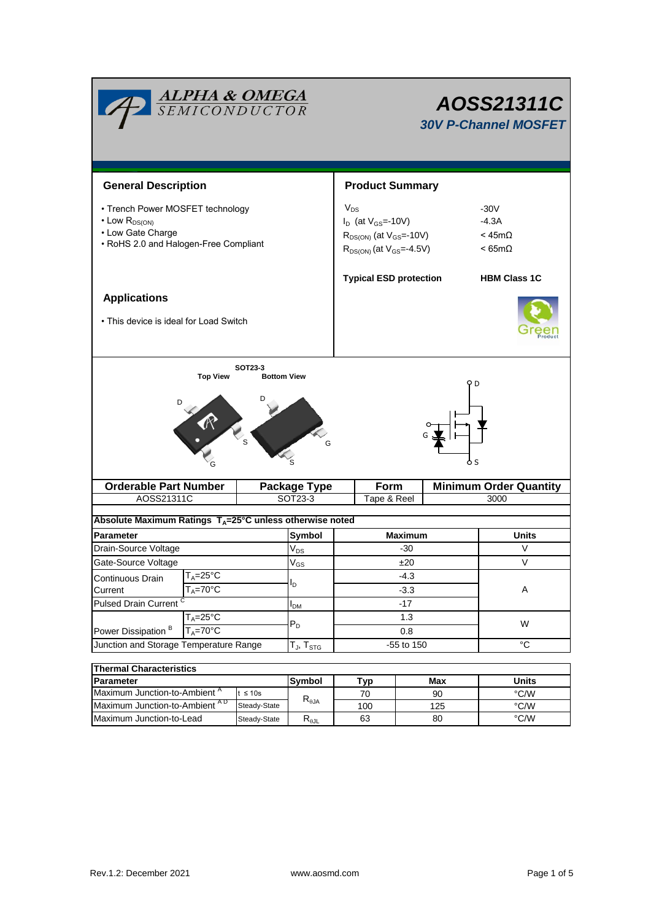| <b>ALPHA &amp; OMEGA</b><br>SEMICONDUCTOR                                                                                  |                                     |                     |               | AOSS21311C<br><b>30V P-Channel MOSFET</b> |                                                                                                       |                                                        |                     |  |  |
|----------------------------------------------------------------------------------------------------------------------------|-------------------------------------|---------------------|---------------|-------------------------------------------|-------------------------------------------------------------------------------------------------------|--------------------------------------------------------|---------------------|--|--|
| <b>General Description</b>                                                                                                 |                                     |                     |               | <b>Product Summary</b>                    |                                                                                                       |                                                        |                     |  |  |
| • Trench Power MOSFET technology<br>$\cdot$ Low $R_{DS(ON)}$<br>• Low Gate Charge<br>• RoHS 2.0 and Halogen-Free Compliant |                                     |                     |               | $V_{DS}$                                  | $I_D$ (at $V_{GS} = -10V$ )<br>$R_{DS(ON)}$ (at $V_{GS}$ =-10V)<br>$R_{DS(ON)}$ (at $V_{GS} = 4.5V$ ) | $-30V$<br>$-4.3A$<br>$<$ 45m $\Omega$<br>$< 65m\Omega$ |                     |  |  |
|                                                                                                                            |                                     |                     |               | <b>Typical ESD protection</b>             |                                                                                                       |                                                        | <b>HBM Class 1C</b> |  |  |
| <b>Applications</b>                                                                                                        |                                     |                     |               |                                           |                                                                                                       |                                                        |                     |  |  |
| • This device is ideal for Load Switch                                                                                     |                                     |                     |               |                                           |                                                                                                       |                                                        |                     |  |  |
| G                                                                                                                          |                                     |                     |               |                                           |                                                                                                       |                                                        |                     |  |  |
| <b>Orderable Part Number</b>                                                                                               |                                     | <b>Package Type</b> |               | Form                                      |                                                                                                       | <b>Minimum Order Quantity</b>                          |                     |  |  |
| AOSS21311C                                                                                                                 |                                     |                     | SOT23-3       |                                           | Tape & Reel<br>3000                                                                                   |                                                        |                     |  |  |
| Absolute Maximum Ratings T <sub>A</sub> =25°C unless otherwise noted                                                       |                                     |                     |               |                                           |                                                                                                       |                                                        |                     |  |  |
| <b>Parameter</b>                                                                                                           |                                     |                     | <b>Symbol</b> | <b>Maximum</b>                            |                                                                                                       |                                                        | Units               |  |  |
| Drain-Source Voltage                                                                                                       |                                     |                     | $\rm V_{DS}$  |                                           | -30                                                                                                   |                                                        | V                   |  |  |
| Gate-Source Voltage                                                                                                        |                                     |                     | $V_{GS}$      | ±20                                       |                                                                                                       |                                                        | $\vee$              |  |  |
| $T_A = 25$ °C<br>Continuous Drain                                                                                          |                                     |                     |               | -4.3                                      |                                                                                                       |                                                        |                     |  |  |
| Current                                                                                                                    | $T_A = 70$ °C                       |                     | $I_D$         |                                           | $-3.3$                                                                                                |                                                        | Α                   |  |  |
| <b>Pulsed Drain Current</b>                                                                                                |                                     | $I_{DM}$            |               | $-17$                                     |                                                                                                       |                                                        |                     |  |  |
| Power Dissipation <sup>B</sup>                                                                                             | $T_A = 25$ °C<br>$T_A = 70^\circ C$ |                     | $P_D$         | 1.3<br>0.8                                |                                                                                                       | W                                                      |                     |  |  |
| Junction and Storage Temperature Range                                                                                     |                                     | $T_J$ , $T_{STG}$   |               | -55 to 150                                |                                                                                                       | $^{\circ}C$                                            |                     |  |  |
|                                                                                                                            |                                     |                     |               |                                           |                                                                                                       |                                                        |                     |  |  |
| <b>Thermal Characteristics</b><br>Parameter                                                                                |                                     |                     | <b>Symbol</b> |                                           | Tvn                                                                                                   | Max                                                    | <b>Units</b>        |  |  |

| <b>Thermal Characteristics</b>            |               |                           |     |       |      |  |  |
|-------------------------------------------|---------------|---------------------------|-----|-------|------|--|--|
| <b>Parameter</b>                          | <b>Symbol</b> | Typ                       | Max | Units |      |  |  |
| Maximum Junction-to-Ambient <sup>"</sup>  | $\leq 10s$    | $R_{\theta$ JA            | 70  | 90    | °C/W |  |  |
| Maximum Junction-to-Ambient <sup>AD</sup> | Steady-State  |                           | 100 | 125   | °C/W |  |  |
| Maximum Junction-to-Lead                  | Steady-State  | $\mathsf{R}_{0\text{JL}}$ | 63  | 80    | °C/W |  |  |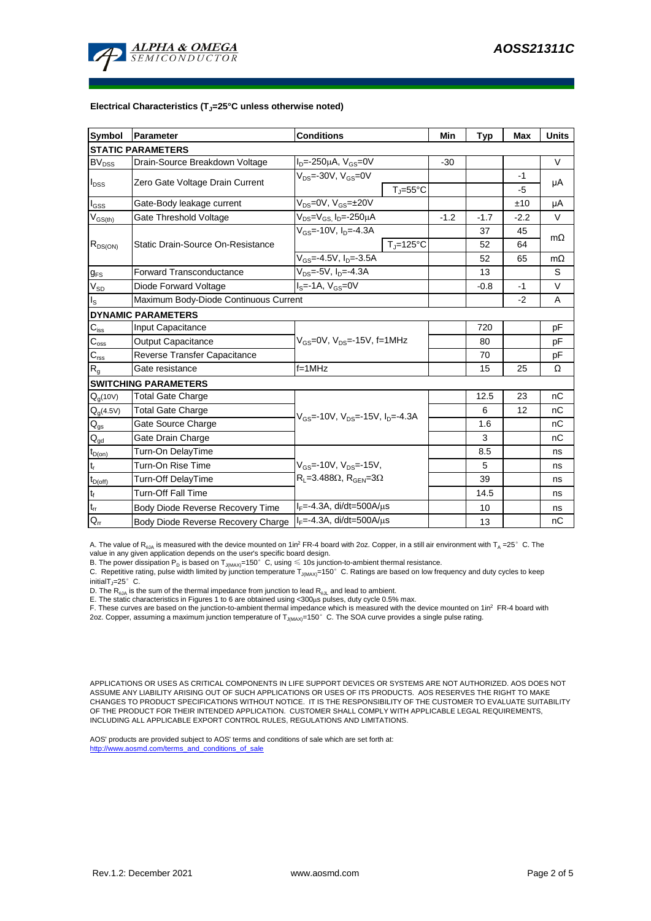

## **Electrical Characteristics (TJ=25°C unless otherwise noted)**

| <b>Symbol</b>               | Parameter                             | <b>Conditions</b>                                        | Min    | <b>Typ</b> | <b>Max</b> | <b>Units</b> |  |  |  |
|-----------------------------|---------------------------------------|----------------------------------------------------------|--------|------------|------------|--------------|--|--|--|
| <b>STATIC PARAMETERS</b>    |                                       |                                                          |        |            |            |              |  |  |  |
| <b>BV</b> <sub>DSS</sub>    | Drain-Source Breakdown Voltage        | $I_D = -250 \mu A$ , $V_{GS} = 0V$                       | $-30$  |            |            | V            |  |  |  |
| $I_{\text{DSS}}$            | Zero Gate Voltage Drain Current       | $V_{DS}$ =-30V, $V_{GS}$ =0V                             |        |            | $-1$       |              |  |  |  |
|                             |                                       | $T_{\rm J}$ =55°C                                        |        |            | $-5$       | μA           |  |  |  |
| $I_{GSS}$                   | Gate-Body leakage current             | $V_{DS} = 0V$ , $V_{GS} = \pm 20V$                       |        |            | ±10        | μA           |  |  |  |
| $V_{GS(th)}$                | Gate Threshold Voltage                | V <sub>DS</sub> =V <sub>GS.</sub> I <sub>D</sub> =-250µA | $-1.2$ | $-1.7$     | $-2.2$     | V            |  |  |  |
| $R_{DS(ON)}$                |                                       | $V_{c} = -10V$ , $I_{p} = -4.3A$                         |        | 37         | 45         | $m\Omega$    |  |  |  |
|                             | Static Drain-Source On-Resistance     | $T_J = 125$ °C                                           |        | 52         | 64         |              |  |  |  |
|                             |                                       | $V_{GS} = -4.5V$ , $I_D = -3.5A$                         |        | 52         | 65         | $m\Omega$    |  |  |  |
| $g_{FS}$                    | <b>Forward Transconductance</b>       | $V_{DS} = -5V$ , $I_{D} = -4.3A$                         |        | 13         |            | S            |  |  |  |
| $\rm V_{\rm SD}$            | Diode Forward Voltage                 | $IS=-1A, VGS=0V$                                         |        | $-0.8$     | $-1$       | $\vee$       |  |  |  |
| $\mathsf{I}_\mathsf{S}$     | Maximum Body-Diode Continuous Current |                                                          |        | $-2$       | A          |              |  |  |  |
|                             | <b>DYNAMIC PARAMETERS</b>             |                                                          |        |            |            |              |  |  |  |
| $\mathbf{C}_{\mathsf{iss}}$ | <b>Input Capacitance</b>              |                                                          |        | 720        |            | рF           |  |  |  |
| $\mathbf{C}_{\text{oss}}$   | <b>Output Capacitance</b>             | $V_{GS}$ =0V, $V_{DS}$ =-15V, f=1MHz                     |        | 80         |            | рF           |  |  |  |
| $\mathbf{C}_{\text{rss}}$   | Reverse Transfer Capacitance          |                                                          |        | 70         |            | pF           |  |  |  |
| $R_{g}$                     | Gate resistance                       | $f=1$ MHz                                                |        | 15         | 25         | Ω            |  |  |  |
|                             | <b>SWITCHING PARAMETERS</b>           |                                                          |        |            |            |              |  |  |  |
| $Q_q(10V)$                  | <b>Total Gate Charge</b>              |                                                          |        | 12.5       | 23         | nC           |  |  |  |
| $Q_g(4.5V)$                 | Total Gate Charge                     | $V_{GS}$ =-10V, $V_{DS}$ =-15V, $I_{D}$ =-4.3A           |        | 6          | 12         | nC           |  |  |  |
| $\mathbf{Q}_\text{gs}$      | Gate Source Charge                    |                                                          |        | 1.6        |            | nC           |  |  |  |
| $Q_{gd}$                    | Gate Drain Charge                     |                                                          |        | 3          |            | nС           |  |  |  |
| $t_{D(0n)}$                 | Turn-On DelayTime                     |                                                          |        | 8.5        |            | ns           |  |  |  |
| $t_r$                       | Turn-On Rise Time                     | $V_{GS}$ =-10V, $V_{DS}$ =-15V,                          |        | 5          |            | ns           |  |  |  |
| $t_{D(off)}$                | Turn-Off DelayTime                    | $R_L$ =3.488 $\Omega$ , $R_{GEN}$ =3 $\Omega$            |        | 39         |            | ns           |  |  |  |
| $\mathsf{t}_{\mathsf{f}}$   | Turn-Off Fall Time                    |                                                          |        | 14.5       |            | ns           |  |  |  |
| $\mathfrak{t}_{\text{rr}}$  | Body Diode Reverse Recovery Time      | $I_F = -4.3A$ , di/dt=500A/ $\mu$ s                      |        | 10         |            | ns           |  |  |  |
| $Q_{rr}$                    | Body Diode Reverse Recovery Charge    | $I_F = -4.3A$ , di/dt=500A/ $\mu$ s                      |        | 13         |            | nC           |  |  |  |

A. The value of  $R_{qJA}$  is measured with the device mounted on 1in<sup>2</sup> FR-4 board with 2oz. Copper, in a still air environment with T<sub>A</sub> =25°C. The value in any given application depends on the user's specific board design.

B. The power dissipation  ${\sf P}_{\sf D}$  is based on  ${\sf T}_{\sf J(MAX)}$ =150 $^\circ\,$  C, using  $\leqslant$  10s junction-to-ambient thermal resistance.

C. Repetitive rating, pulse width limited by junction temperature T $_{\rm J(MAX)}$ =150°C. Ratings are based on low frequency and duty cycles to keep

 $initialT = 25^\circ$  C.

D. The R<sub>eJA</sub> is the sum of the thermal impedance from junction to lead R<sub>eJL</sub> and lead to ambient.<br>E. The static characteristics in Figures 1 to 6 are obtained using <300µs pulses, duty cycle 0.5% max.<br>F. These curves ar

2oz. Copper, assuming a maximum junction temperature of T<sub>J(MAX)</sub>=150°C. The SOA curve provides a single pulse rating.

APPLICATIONS OR USES AS CRITICAL COMPONENTS IN LIFE SUPPORT DEVICES OR SYSTEMS ARE NOT AUTHORIZED. AOS DOES NOT ASSUME ANY LIABILITY ARISING OUT OF SUCH APPLICATIONS OR USES OF ITS PRODUCTS. AOS RESERVES THE RIGHT TO MAKE CHANGES TO PRODUCT SPECIFICATIONS WITHOUT NOTICE. IT IS THE RESPONSIBILITY OF THE CUSTOMER TO EVALUATE SUITABILITY OF THE PRODUCT FOR THEIR INTENDED APPLICATION. CUSTOMER SHALL COMPLY WITH APPLICABLE LEGAL REQUIREMENTS, INCLUDING ALL APPLICABLE EXPORT CONTROL RULES, REGULATIONS AND LIMITATIONS.

AOS' products are provided subject to AOS' terms and conditions of sale which are set forth at: http://www.aosmd.com/terms\_and\_conditions\_of\_sale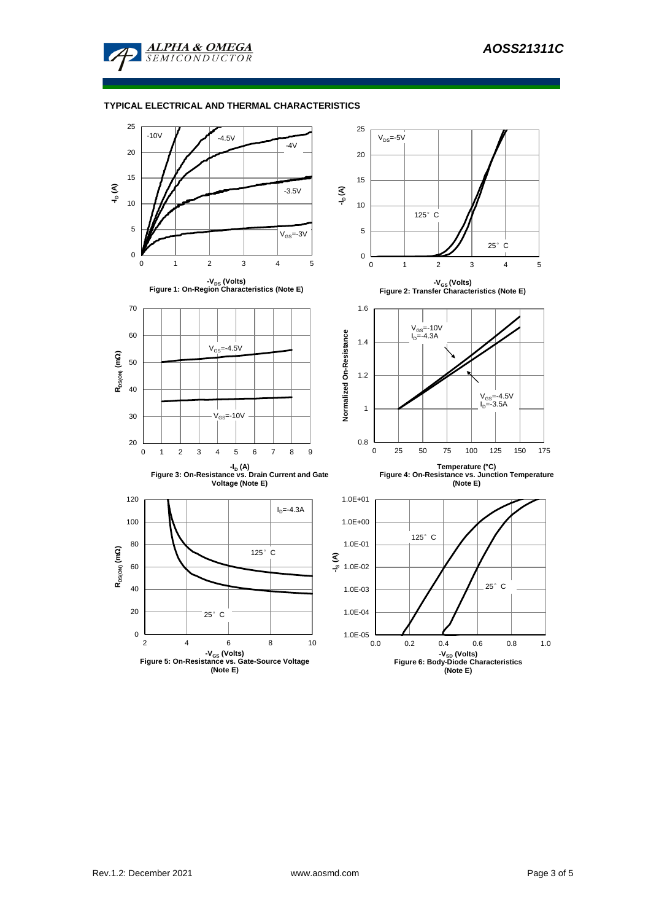

## **TYPICAL ELECTRICAL AND THERMAL CHARACTERISTICS**

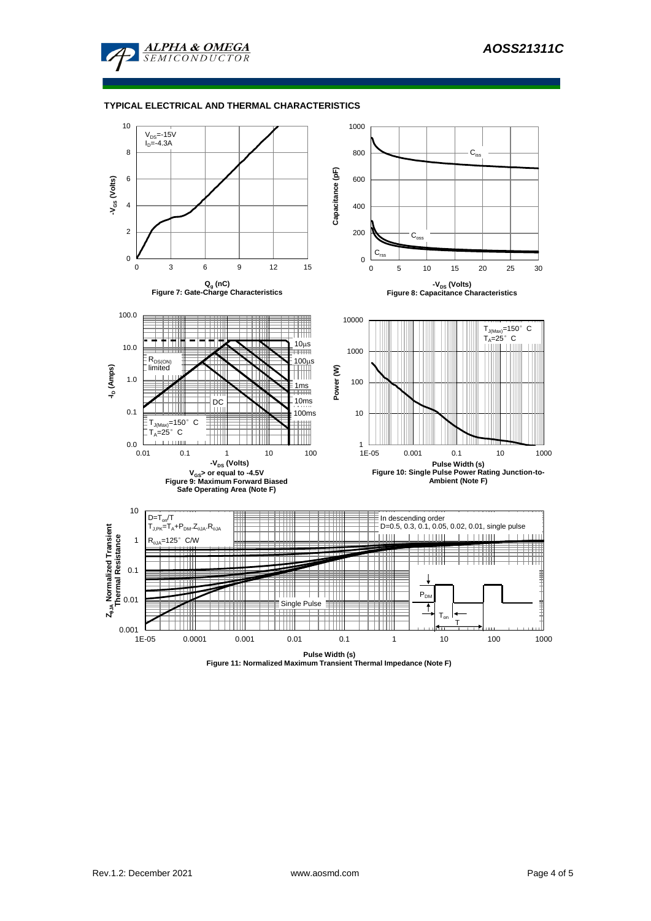

## **TYPICAL ELECTRICAL AND THERMAL CHARACTERISTICS**